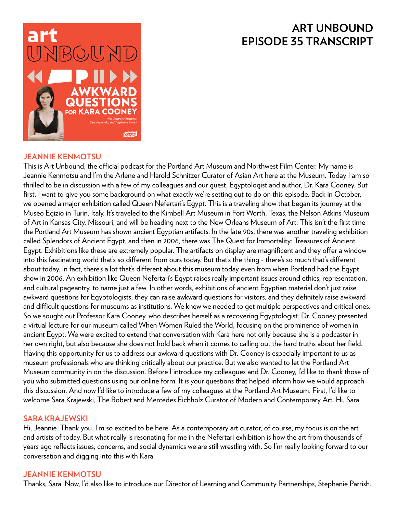# **ART UNBOUND EPISODE 35 TRANSCRIPT**



### **JEANNIE KENMOTSU**

This is Art Unbound, the official podcast for the Portland Art Museum and Northwest Film Center. My name is Jeannie Kenmotsu and I'm the Arlene and Harold Schnitzer Curator of Asian Art here at the Museum. Today I am so thrilled to be in discussion with a few of my colleagues and our guest, Egyptologist and author, Dr. Kara Cooney. But first, I want to give you some background on what exactly we're setting out to do on this episode. Back in October, we opened a major exhibition called Queen Nefertari's Egypt. This is a traveling show that began its journey at the Museo Egizio in Turin, Italy. It's traveled to the Kimbell Art Museum in Fort Worth, Texas, the Nelson Atkins Museum of Art in Kansas City, Missouri, and will be heading next to the New Orleans Museum of Art. This isn't the first time the Portland Art Museum has shown ancient Egyptian artifacts. In the late 90s, there was another traveling exhibition called Splendors of Ancient Egypt, and then in 2006, there was The Quest for Immortality: Treasures of Ancient Egypt. Exhibitions like these are extremely popular. The artifacts on display are magnificent and they offer a window into this fascinating world that's so different from ours today. But that's the thing - there's so much that's different about today. In fact, there's a lot that's different about this museum today even from when Portland had the Egypt show in 2006. An exhibition like Queen Nefertari's Egypt raises really important issues around ethics, representation, and cultural pageantry, to name just a few. In other words, exhibitions of ancient Egyptian material don't just raise awkward questions for Egyptologists; they can raise awkward questions for visitors, and they definitely raise awkward and difficult questions for museums as institutions. We knew we needed to get multiple perspectives and critical ones. So we sought out Professor Kara Cooney, who describes herself as a recovering Egyptologist. Dr. Cooney presented a virtual lecture for our museum called When Women Ruled the World, focusing on the prominence of women in ancient Egypt. We were excited to extend that conversation with Kara here not only because she is a podcaster in her own right, but also because she does not hold back when it comes to calling out the hard truths about her field. Having this opportunity for us to address our awkward questions with Dr. Cooney is especially important to us as museum professionals who are thinking critically about our practice. But we also wanted to let the Portland Art Museum community in on the discussion. Before I introduce my colleagues and Dr. Cooney, I'd like to thank those of you who submitted questions using our online form. It is your questions that helped inform how we would approach this discussion. And now I'd like to introduce a few of my colleagues at the Portland Art Museum. First, I'd like to welcome Sara Krajewski, The Robert and Mercedes Eichholz Curator of Modern and Contemporary Art. Hi, Sara.

#### **SARA KRAJEWSKI**

Hi, Jeannie. Thank you. I'm so excited to be here. As a contemporary art curator, of course, my focus is on the art and artists of today. But what really is resonating for me in the Nefertari exhibition is how the art from thousands of years ago reflects issues, concerns, and social dynamics we are still wrestling with. So I'm really looking forward to our conversation and digging into this with Kara.

### **JEANNIE KENMOTSU**

Thanks, Sara. Now, I'd also like to introduce our Director of Learning and Community Partnerships, Stephanie Parrish.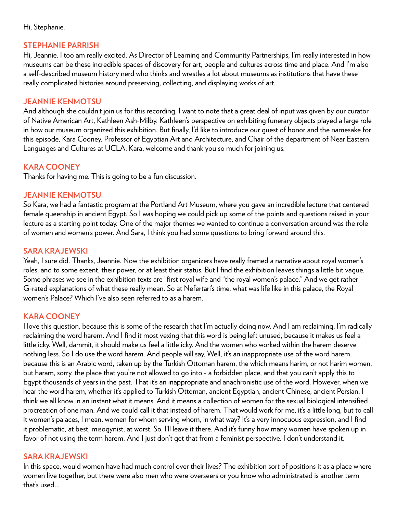#### Hi, Stephanie.

### **STEPHANIE PARRISH**

Hi, Jeannie. I too am really excited. As Director of Learning and Community Partnerships, I'm really interested in how museums can be these incredible spaces of discovery for art, people and cultures across time and place. And I'm also a self-described museum history nerd who thinks and wrestles a lot about museums as institutions that have these really complicated histories around preserving, collecting, and displaying works of art.

#### **JEANNIE KENMOTSU**

And although she couldn't join us for this recording, I want to note that a great deal of input was given by our curator of Native American Art, Kathleen Ash-Milby. Kathleen's perspective on exhibiting funerary objects played a large role in how our museum organized this exhibition. But finally, I'd like to introduce our guest of honor and the namesake for this episode, Kara Cooney, Professor of Egyptian Art and Architecture, and Chair of the department of Near Eastern Languages and Cultures at UCLA. Kara, welcome and thank you so much for joining us.

# **KARA COONEY**

Thanks for having me. This is going to be a fun discussion.

### **JEANNIE KENMOTSU**

So Kara, we had a fantastic program at the Portland Art Museum, where you gave an incredible lecture that centered female queenship in ancient Egypt. So I was hoping we could pick up some of the points and questions raised in your lecture as a starting point today. One of the major themes we wanted to continue a conversation around was the role of women and women's power. And Sara, I think you had some questions to bring forward around this.

### **SARA KRAJEWSKI**

Yeah, I sure did. Thanks, Jeannie. Now the exhibition organizers have really framed a narrative about royal women's roles, and to some extent, their power, or at least their status. But I find the exhibition leaves things a little bit vague. Some phrases we see in the exhibition texts are "first royal wife and "the royal women's palace." And we get rather G-rated explanations of what these really mean. So at Nefertari's time, what was life like in this palace, the Royal women's Palace? Which I've also seen referred to as a harem.

### **KARA COONEY**

I love this question, because this is some of the research that I'm actually doing now. And I am reclaiming, I'm radically reclaiming the word harem. And I find it most vexing that this word is being left unused, because it makes us feel a little icky. Well, dammit, it should make us feel a little icky. And the women who worked within the harem deserve nothing less. So I do use the word harem. And people will say, Well, it's an inappropriate use of the word harem, because this is an Arabic word, taken up by the Turkish Ottoman harem, the which means harim, or not harim women, but haram, sorry, the place that you're not allowed to go into - a forbidden place, and that you can't apply this to Egypt thousands of years in the past. That it's an inappropriate and anachronistic use of the word. However, when we hear the word harem, whether it's applied to Turkish Ottoman, ancient Egyptian, ancient Chinese, ancient Persian, I think we all know in an instant what it means. And it means a collection of women for the sexual biological intensified procreation of one man. And we could call it that instead of harem. That would work for me, it's a little long, but to call it women's palaces, I mean, women for whom serving whom, in what way? It's a very innocuous expression, and I find it problematic, at best, misogynist, at worst. So, I'll leave it there. And it's funny how many women have spoken up in favor of not using the term harem. And I just don't get that from a feminist perspective. I don't understand it.

#### **SARA KRAJEWSKI**

In this space, would women have had much control over their lives? The exhibition sort of positions it as a place where women live together, but there were also men who were overseers or you know who administrated is another term that's used...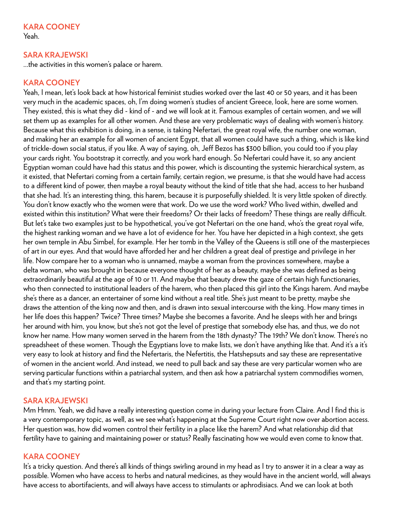# **KARA COONEY**

Yeah.

### **SARA KRAJEWSKI**

...the activities in this women's palace or harem.

# **KARA COONEY**

Yeah, I mean, let's look back at how historical feminist studies worked over the last 40 or 50 years, and it has been very much in the academic spaces, oh, I'm doing women's studies of ancient Greece, look, here are some women. They existed, this is what they did - kind of - and we will look at it. Famous examples of certain women, and we will set them up as examples for all other women. And these are very problematic ways of dealing with women's history. Because what this exhibition is doing, in a sense, is taking Nefertari, the great royal wife, the number one woman, and making her an example for all women of ancient Egypt, that all women could have such a thing, which is like kind of trickle-down social status, if you like. A way of saying, oh, Jeff Bezos has \$300 billion, you could too if you play your cards right. You bootstrap it correctly, and you work hard enough. So Nefertari could have it, so any ancient Egyptian woman could have had this status and this power, which is discounting the systemic hierarchical system, as it existed, that Nefertari coming from a certain family, certain region, we presume, is that she would have had access to a different kind of power, then maybe a royal beauty without the kind of title that she had, access to her husband that she had. It's an interesting thing, this harem, because it is purposefully shielded. It is very little spoken of directly. You don't know exactly who the women were that work. Do we use the word work? Who lived within, dwelled and existed within this institution? What were their freedoms? Or their lacks of freedom? These things are really difficult. But let's take two examples just to be hypothetical, you've got Nefertari on the one hand, who's the great royal wife, the highest ranking woman and we have a lot of evidence for her. You have her depicted in a high context, she gets her own temple in Abu Simbel, for example. Her her tomb in the Valley of the Queens is still one of the masterpieces of art in our eyes. And that would have afforded her and her children a great deal of prestige and privilege in her life. Now compare her to a woman who is unnamed, maybe a woman from the provinces somewhere, maybe a delta woman, who was brought in because everyone thought of her as a beauty, maybe she was defined as being extraordinarily beautiful at the age of 10 or 11. And maybe that beauty drew the gaze of certain high functionaries, who then connected to institutional leaders of the harem, who then placed this girl into the Kings harem. And maybe she's there as a dancer, an entertainer of some kind without a real title. She's just meant to be pretty, maybe she draws the attention of the king now and then, and is drawn into sexual intercourse with the king. How many times in her life does this happen? Twice? Three times? Maybe she becomes a favorite. And he sleeps with her and brings her around with him, you know, but she's not got the level of prestige that somebody else has, and thus, we do not know her name. How many women served in the harem from the 18th dynasty? The 19th? We don't know. There's no spreadsheet of these women. Though the Egyptians love to make lists, we don't have anything like that. And it's a it's very easy to look at history and find the Nefertaris, the Nefertitis, the Hatshepsuts and say these are representative of women in the ancient world. And instead, we need to pull back and say these are very particular women who are serving particular functions within a patriarchal system, and then ask how a patriarchal system commodifies women, and that's my starting point.

### **SARA KRAJEWSKI**

Mm Hmm. Yeah, we did have a really interesting question come in during your lecture from Claire. And I find this is a very contemporary topic, as well, as we see what's happening at the Supreme Court right now over abortion access. Her question was, how did women control their fertility in a place like the harem? And what relationship did that fertility have to gaining and maintaining power or status? Really fascinating how we would even come to know that.

#### **KARA COONEY**

It's a tricky question. And there's all kinds of things swirling around in my head as I try to answer it in a clear a way as possible. Women who have access to herbs and natural medicines, as they would have in the ancient world, will always have access to abortifacients, and will always have access to stimulants or aphrodisiacs. And we can look at both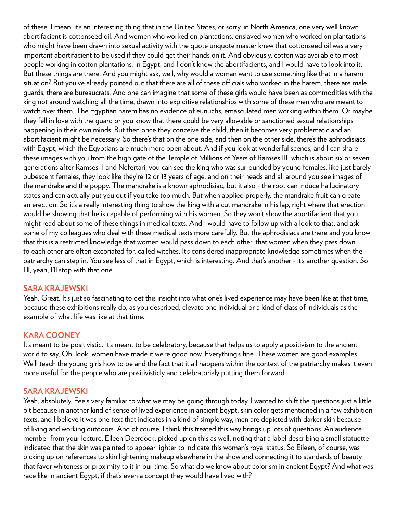of these. I mean, it's an interesting thing that in the United States, or sorry, in North America, one very well known abortifacient is cottonseed oil. And women who worked on plantations, enslaved women who worked on plantations who might have been drawn into sexual activity with the quote unquote master knew that cottonseed oil was a very important abortifacient to be used if they could get their hands on it. And obviously, cotton was available to most people working in cotton plantations. In Egypt, and I don't know the abortifacients, and I would have to look into it. But these things are there. And you might ask, well, why would a woman want to use something like that in a harem situation? But you've already pointed out that there are all of these officials who worked in the harem, there are male guards, there are bureaucrats. And one can imagine that some of these girls would have been as commodities with the king not around watching all the time, drawn into exploitive relationships with some of these men who are meant to watch over them. The Egyptian harem has no evidence of eunuchs, emasculated men working within them. Or maybe they fell in love with the guard or you know that there could be very allowable or sanctioned sexual relationships happening in their own minds. But then once they conceive the child, then it becomes very problematic and an abortifacient might be necessary. So there's that on the one side, and then on the other side, there's the aphrodisiacs with Egypt, which the Egyptians are much more open about. And if you look at wonderful scenes, and I can share these images with you from the high gate of the Temple of Millions of Years of Ramses III, which is about six or seven generations after Ramses II and Nefertari, you can see the king who was surrounded by young females, like just barely pubescent females, they look like they're 12 or 13 years of age, and on their heads and all around you see images of the mandrake and the poppy. The mandrake is a known aphrodisiac, but it also - the root can induce hallucinatory states and can actually put you out if you take too much. But when applied properly, the mandrake fruit can create an erection. So it's a really interesting thing to show the king with a cut mandrake in his lap, right where that erection would be showing that he is capable of performing with his women. So they won't show the abortifacient that you might read about some of these things in medical texts. And I would have to follow up with a look to that, and ask some of my colleagues who deal with these medical texts more carefully. But the aphrodisiacs are there and you know that this is a restricted knowledge that women would pass down to each other, that women when they pass down to each other are often excoriated for, called witches. It's considered inappropriate knowledge sometimes when the patriarchy can step in. You see less of that in Egypt, which is interesting. And that's another - it's another question. So I'll, yeah, I'll stop with that one.

#### **SARA KRAJEWSKI**

Yeah. Great. It's just so fascinating to get this insight into what one's lived experience may have been like at that time, because these exhibitions really do, as you described, elevate one individual or a kind of class of individuals as the example of what life was like at that time.

### **KARA COONEY**

It's meant to be positivistic. It's meant to be celebratory, because that helps us to apply a positivism to the ancient world to say, Oh, look, women have made it we're good now. Everything's fine. These women are good examples. We'll teach the young girls how to be and the fact that it all happens within the context of the patriarchy makes it even more useful for the people who are positivisticly and celebratorialy putting them forward.

#### **SARA KRAJEWSKI**

Yeah, absolutely. Feels very familiar to what we may be going through today. I wanted to shift the questions just a little bit because in another kind of sense of lived experience in ancient Egypt, skin color gets mentioned in a few exhibition texts, and I believe it was one text that indicates in a kind of simple way, men are depicted with darker skin because of living and working outdoors. And of course, I think this treated this way brings up lots of questions. An audience member from your lecture, Eileen Deerdock, picked up on this as well, noting that a label describing a small statuette indicated that the skin was painted to appear lighter to indicate this woman's royal status. So Eileen, of course, was picking up on references to skin lightening makeup elsewhere in the show and connecting it to standards of beauty that favor whiteness or proximity to it in our time. So what do we know about colorism in ancient Egypt? And what was race like in ancient Egypt, if that's even a concept they would have lived with?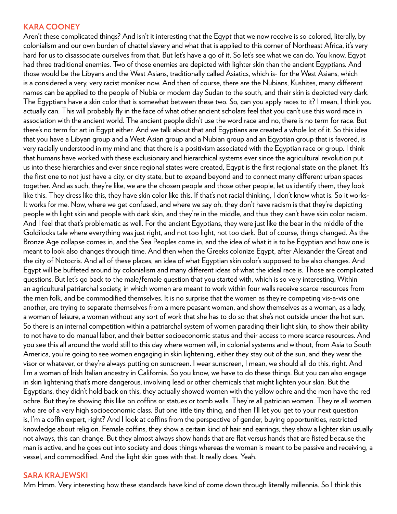#### **KARA COONEY**

Aren't these complicated things? And isn't it interesting that the Egypt that we now receive is so colored, literally, by colonialism and our own burden of chattel slavery and what that is applied to this corner of Northeast Africa, it's very hard for us to disassociate ourselves from that. But let's have a go of it. So let's see what we can do. You know, Egypt had three traditional enemies. Two of those enemies are depicted with lighter skin than the ancient Egyptians. And those would be the Libyans and the West Asians, traditionally called Asiatics, which is- for the West Asians, which is a considered a very, very racist moniker now. And then of course, there are the Nubians, Kushites, many different names can be applied to the people of Nubia or modern day Sudan to the south, and their skin is depicted very dark. The Egyptians have a skin color that is somewhat between these two. So, can you apply races to it? I mean, I think you actually can. This will probably fly in the face of what other ancient scholars feel that you can't use this word race in association with the ancient world. The ancient people didn't use the word race and no, there is no term for race. But there's no term for art in Egypt either. And we talk about that and Egyptians are created a whole lot of it. So this idea that you have a Libyan group and a West Asian group and a Nubian group and an Egyptian group that is favored, is very racially understood in my mind and that there is a positivism associated with the Egyptian race or group. I think that humans have worked with these exclusionary and hierarchical systems ever since the agricultural revolution put us into these hierarchies and ever since regional states were created, Egypt is the first regional state on the planet. It's the first one to not just have a city, or city state, but to expand beyond and to connect many different urban spaces together. And as such, they're like, we are the chosen people and those other people, let us identify them, they look like this. They dress like this, they have skin color like this. If that's not racial thinking, I don't know what is. So it works-It works for me. Now, where we get confused, and where we say oh, they don't have racism is that they're depicting people with light skin and people with dark skin, and they're in the middle, and thus they can't have skin color racism. And I feel that that's problematic as well. For the ancient Egyptians, they were just like the bear in the middle of the Goldilocks tale where everything was just right, and not too light, not too dark. But of course, things changed. As the Bronze Age collapse comes in, and the Sea Peoples come in, and the idea of what it is to be Egyptian and how one is meant to look also changes through time. And then when the Greeks colonize Egypt, after Alexander the Great and the city of Notocris. And all of these places, an idea of what Egyptian skin color's supposed to be also changes. And Egypt will be buffeted around by colonialism and many different ideas of what the ideal race is. Those are complicated questions. But let's go back to the male/female question that you started with, which is so very interesting. Within an agricultural patriarchal society, in which women are meant to work within four walls receive scarce resources from the men folk, and be commodified themselves. It is no surprise that the women as they're competing vis-a-vis one another, are trying to separate themselves from a mere peasant woman, and show themselves as a woman, as a lady, a woman of leisure, a woman without any sort of work that she has to do so that she's not outside under the hot sun. So there is an internal competition within a patriarchal system of women parading their light skin, to show their ability to not have to do manual labor, and their better socioeconomic status and their access to more scarce resources. And you see this all around the world still to this day where women will, in colonial systems and without, from Asia to South America, you're going to see women engaging in skin lightening, either they stay out of the sun, and they wear the visor or whatever, or they're always putting on sunscreen. I wear sunscreen, I mean, we should all do this, right. And I'm a woman of Irish Italian ancestry in California. So you know, we have to do these things. But you can also engage in skin lightening that's more dangerous, involving lead or other chemicals that might lighten your skin. But the Egyptians, they didn't hold back on this, they actually showed women with the yellow ochre and the men have the red ochre. But they're showing this like on coffins or statues or tomb walls. They're all patrician women. They're all women who are of a very high socioeconomic class. But one little tiny thing, and then I'll let you get to your next question is, I'm a coffin expert, right? And I look at coffins from the perspective of gender, buying opportunities, restricted knowledge about religion. Female coffins, they show a certain kind of hair and earrings, they show a lighter skin usually not always, this can change. But they almost always show hands that are flat versus hands that are fisted because the man is active, and he goes out into society and does things whereas the woman is meant to be passive and receiving, a vessel, and commodified. And the light skin goes with that. It really does. Yeah.

#### **SARA KRAJEWSKI**

Mm Hmm. Very interesting how these standards have kind of come down through literally millennia. So I think this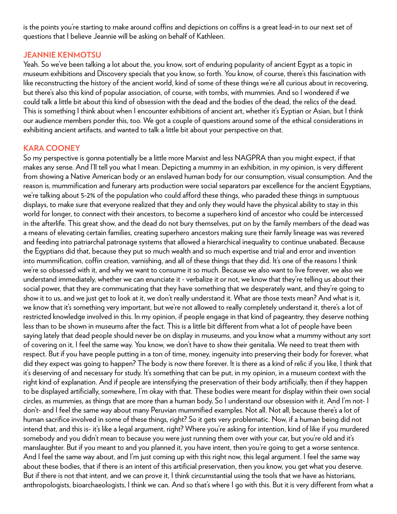is the points you're starting to make around coffins and depictions on coffins is a great lead-in to our next set of questions that I believe Jeannie will be asking on behalf of Kathleen.

### **JEANNIE KENMOTSU**

Yeah. So we've been talking a lot about the, you know, sort of enduring popularity of ancient Egypt as a topic in museum exhibitions and Discovery specials that you know, so forth. You know, of course, there's this fascination with like reconstructing the history of the ancient world, kind of some of these things we're all curious about in recovering, but there's also this kind of popular association, of course, with tombs, with mummies. And so I wondered if we could talk a little bit about this kind of obsession with the dead and the bodies of the dead, the relics of the dead. This is something I think about when I encounter exhibitions of ancient art, whether it's Eyptian or Asian, but I think our audience members ponder this, too. We got a couple of questions around some of the ethical considerations in exhibiting ancient artifacts, and wanted to talk a little bit about your perspective on that.

### **KARA COONEY**

So my perspective is gonna potentially be a little more Marxist and less NAGPRA than you might expect, if that makes any sense. And I'll tell you what I mean. Depicting a mummy in an exhibition, in my opinion, is very different from showing a Native American body or an enslaved human body for our consumption, visual consumption. And the reason is, mummification and funerary arts production were social separators par excellence for the ancient Egyptians, we're talking about 5-2% of the population who could afford these things, who paraded these things in sumptuous displays, to make sure that everyone realized that they and only they would have the physical ability to stay in this world for longer, to connect with their ancestors, to become a superhero kind of ancestor who could be intercessed in the afterlife. This great show, and the dead do not bury themselves, put on by the family members of the dead was a means of elevating certain families, creating superhero ancestors making sure their family lineage was was revered and feeding into patriarchal patronage systems that allowed a hierarchical inequality to continue unabated. Because the Egyptians did that, because they put so much wealth and so much expertise and trial and error and invention into mummification, coffin creation, varnishing, and all of these things that they did. It's one of the reasons I think we're so obsessed with it, and why we want to consume it so much. Because we also want to live forever, we also we understand immediately, whether we can enunciate it - verbalize it or not, we know that they're telling us about their social power, that they are communicating that they have something that we desperately want, and they're going to show it to us, and we just get to look at it, we don't really understand it. What are those texts mean? And what is it, we know that it's something very important, but we're not allowed to really completely understand it, there's a lot of restricted knowledge involved in this. In my opinion, if people engage in that kind of pageantry, they deserve nothing less than to be shown in museums after the fact. This is a little bit different from what a lot of people have been saying lately that dead people should never be on display in museums, and you know what a mummy without any sort of covering on it, I feel the same way. You know, we don't have to show their genitalia. We need to treat them with respect. But if you have people putting in a ton of time, money, ingenuity into preserving their body for forever, what did they expect was going to happen? The body is now there forever. It is there as a kind of relic if you like, I think that it's deserving of and necessary for study. It's something that can be put, in my opinion, in a museum context with the right kind of explanation. And if people are intensifying the preservation of their body artificially, then if they happen to be displayed artificially, somewhere, I'm okay with that. These bodies were meant for display within their own social circles, as mummies, as things that are more than a human body. So I understand our obsession with it. And I'm not- I don't- and I feel the same way about many Peruvian mummified examples. Not all. Not all, because there's a lot of human sacrifice involved in some of these things, right? So it gets very problematic. Now, if a human being did not intend that, and this is- it's like a legal argument, right? Where you're asking for intention, kind of like if you murdered somebody and you didn't mean to because you were just running them over with your car, but you're old and it's manslaughter. But if you meant to and you planned it, you have intent, then you're going to get a worse sentence. And I feel the same way about, and I'm just coming up with this right now, this legal argument. I feel the same way about these bodies, that if there is an intent of this artificial preservation, then you know, you get what you deserve. But if there is not that intent, and we can prove it, I think circumstantial using the tools that we have as historians, anthropologists, bioarchaeologists, I think we can. And so that's where I go with this. But it is very different from what a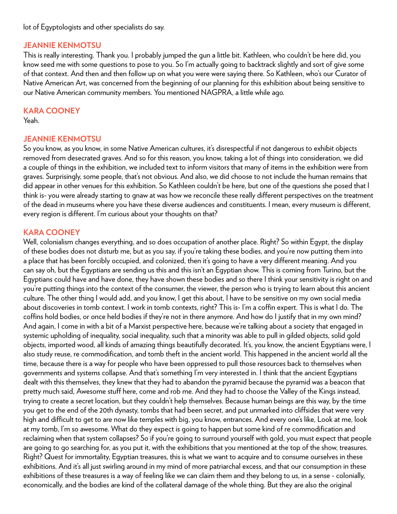lot of Egyptologists and other specialists do say.

### **JEANNIE KENMOTSU**

This is really interesting. Thank you. I probably jumped the gun a little bit. Kathleen, who couldn't be here did, you know seed me with some questions to pose to you. So I'm actually going to backtrack slightly and sort of give some of that context. And then and then follow up on what you were were saying there. So Kathleen, who's our Curator of Native American Art, was concerned from the beginning of our planning for this exhibition about being sensitive to our Native American community members. You mentioned NAGPRA, a little while ago.

### **KARA COONEY**

Yeah.

# **JEANNIE KENMOTSU**

So you know, as you know, in some Native American cultures, it's disrespectful if not dangerous to exhibit objects removed from desecrated graves. And so for this reason, you know, taking a lot of things into consideration, we did a couple of things in the exhibition, we included text to inform visitors that many of items in the exhibition were from graves. Surprisingly, some people, that's not obvious. And also, we did choose to not include the human remains that did appear in other venues for this exhibition. So Kathleen couldn't be here, but one of the questions she posed that I think is- you were already starting to gnaw at was how we reconcile these really different perspectives on the treatment of the dead in museums where you have these diverse audiences and constituents. I mean, every museum is different, every region is different. I'm curious about your thoughts on that?

# **KARA COONEY**

Well, colonialism changes everything, and so does occupation of another place. Right? So within Egypt, the display of these bodies does not disturb me, but as you say, if you're taking these bodies, and you're now putting them into a place that has been forcibly occupied, and colonized, then it's going to have a very different meaning. And you can say oh, but the Egyptians are sending us this and this isn't an Egyptian show. This is coming from Turino, but the Egyptians could have and have done, they have shown these bodies and so there I think your sensitivity is right on and you're putting things into the context of the consumer, the viewer, the person who is trying to learn about this ancient culture. The other thing I would add, and you know, I get this about, I have to be sensitive on my own social media about discoveries in tomb context. I work in tomb contexts, right? This is- I'm a coffin expert. This is what I do. The coffins hold bodies, or once held bodies if they're not in there anymore. And how do I justify that in my own mind? And again, I come in with a bit of a Marxist perspective here, because we're talking about a society that engaged in systemic upholding of inequality, social inequality, such that a minority was able to pull in gilded objects, solid gold objects, imported wood, all kinds of amazing things beautifully decorated. It's, you know, the ancient Egyptians were, I also study reuse, re commodification, and tomb theft in the ancient world. This happened in the ancient world all the time, because there is a way for people who have been oppressed to pull those resources back to themselves when governments and systems collapse. And that's something I'm very interested in. I think that the ancient Egyptians dealt with this themselves, they knew that they had to abandon the pyramid because the pyramid was a beacon that pretty much said, Awesome stuff here, come and rob me. And they had to choose the Valley of the Kings instead, trying to create a secret location, but they couldn't help themselves. Because human beings are this way, by the time you get to the end of the 20th dynasty, tombs that had been secret, and put unmarked into cliffsides that were very high and difficult to get to are now like temples with big, you know, entrances. And every one's like, Look at me, look at my tomb, I'm so awesome. What do they expect is going to happen but some kind of re commodification and reclaiming when that system collapses? So if you're going to surround yourself with gold, you must expect that people are going to go searching for, as you put it, with the exhibitions that you mentioned at the top of the show, treasures. Right? Quest for immortality, Egyptian treasures, this is what we want to acquire and to consume ourselves in these exhibitions. And it's all just swirling around in my mind of more patriarchal excess, and that our consumption in these exhibitions of these treasures is a way of feeling like we can claim them and they belong to us, in a sense - colonially, economically, and the bodies are kind of the collateral damage of the whole thing. But they are also the original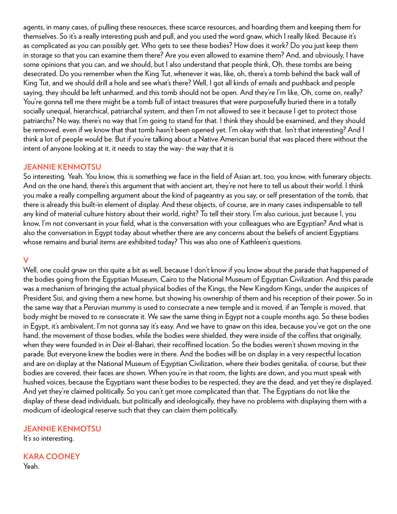agents, in many cases, of pulling these resources, these scarce resources, and hoarding them and keeping them for themselves. So it's a really interesting push and pull, and you used the word gnaw, which I really liked. Because it's as complicated as you can possibly get. Who gets to see these bodies? How does it work? Do you just keep them in storage so that you can examine them there? Are you even allowed to examine them? And, and obviously, I have some opinions that you can, and we should, but I also understand that people think, Oh, these tombs are being desecrated. Do you remember when the King Tut, whenever it was, like, oh, there's a tomb behind the back wall of King Tut, and we should drill a hole and see what's there? Well, I got all kinds of emails and pushback and people saying, they should be left unharmed, and this tomb should not be open. And they're I'm like, Oh, come on, really? You're gonna tell me there might be a tomb full of intact treasures that were purposefully buried there in a totally socially unequal, hierarchical, patriarchal system, and then I'm not allowed to see it because I get to protect those patriarchs? No way, there's no way that I'm going to stand for that. I think they should be examined, and they should be removed, even if we know that that tomb hasn't been opened yet. I'm okay with that. Isn't that interesting? And I think a lot of people would be. But if you're talking about a Native American burial that was placed there without the intent of anyone looking at it, it needs to stay the way- the way that it is

#### **JEANNIE KENMOTSU**

So interesting. Yeah. You know, this is something we face in the field of Asian art, too, you know, with funerary objects. And on the one hand, there's this argument that with ancient art, they're not here to tell us about their world. I think you make a really compelling argument about the kind of pageantry as you say, or self presentation of the tomb, that there is already this built-in element of display. And these objects, of course, are in many cases indispensable to tell any kind of material culture history about their world, right? To tell their story. I'm also curious, just because I, you know, I'm not conversant in your field, what is the conversation with your colleagues who are Egyptian? And what is also the conversation in Egypt today about whether there are any concerns about the beliefs of ancient Egyptians whose remains and burial items are exhibited today? This was also one of Kathleen's questions.

#### **V**

Well, one could gnaw on this quite a bit as well, because I don't know if you know about the parade that happened of the bodies going from the Egyptian Museum, Cairo to the National Museum of Egyptian Civilization. And this parade was a mechanism of bringing the actual physical bodies of the Kings, the New Kingdom Kings, under the auspices of President Sisi, and giving them a new home, but showing his ownership of them and his reception of their power. So in the same way that a Peruvian mummy is used to consecrate a new temple and is moved, if an Temple is moved, that body might be moved to re consecrate it. We saw the same thing in Egypt not a couple months ago. So these bodies in Egypt, it's ambivalent, I'm not gonna say it's easy. And we have to gnaw on this idea, because you've got on the one hand, the movement of those bodies, while the bodies were shielded, they were inside of the coffins that originally, when they were founded in in Deir el-Bahari, their recoffined location. So the bodies weren't shown moving in the parade. But everyone knew the bodies were in there. And the bodies will be on display in a very respectful location and are on display at the National Museum of Egyptian Civilization, where their bodies genitalia, of course, but their bodies are covered, their faces are shown. When you're in that room, the lights are down, and you must speak with hushed voices, because the Egyptians want these bodies to be respected, they are the dead, and yet they're displayed. And yet they're claimed politically. So you can't get more complicated than that. The Egyptians do not like the display of these dead individuals, but politically and ideologically, they have no problems with displaying them with a modicum of ideological reserve such that they can claim them politically.

#### **JEANNIE KENMOTSU**

It's so interesting.

#### **KARA COONEY**  Yeah.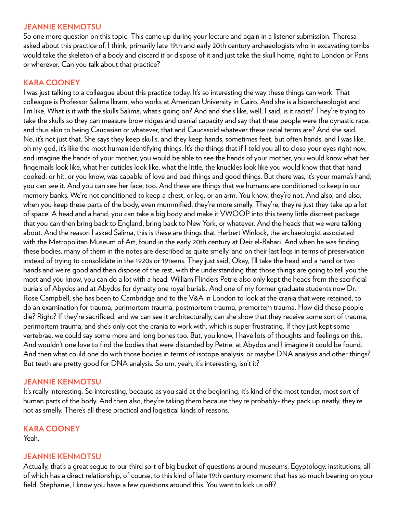#### **JEANNIE KENMOTSU**

So one more question on this topic. This came up during your lecture and again in a listener submission. Theresa asked about this practice of, I think, primarily late 19th and early 20th century archaeologists who in excavating tombs would take the skeleton of a body and discard it or dispose of it and just take the skull home, right to London or Paris or wherever. Can you talk about that practice?

# **KARA COONEY**

I was just talking to a colleague about this practice today. It's so interesting the way these things can work. That colleague is Professor Salima Ikram, who works at American University in Cairo. And she is a bioarchaeologist and I'm like, What is it with the skulls Salima, what's going on? And and she's like, well, I said, is it racist? They're trying to take the skulls so they can measure brow ridges and cranial capacity and say that these people were the dynastic race, and thus akin to being Caucasian or whatever, that and Caucasoid whatever these racial terms are? And she said, No, it's not just that. She says they keep skulls, and they keep hands, sometimes feet, but often hands, and I was like, oh my god, it's like the most human identifying things. It's the things that if I told you all to close your eyes right now, and imagine the hands of your mother, you would be able to see the hands of your mother, you would know what her fingernails look like, what her cuticles look like, what the little, the knuckles look like you would know that that hand cooked, or hit, or you know, was capable of love and bad things and good things. But there was, it's your mama's hand, you can see it. And you can see her face, too. And these are things that we humans are conditioned to keep in our memory banks. We're not conditioned to keep a chest, or leg, or an arm. You know, they're not. And also, and also, when you keep these parts of the body, even mummified, they're more smelly. They're, they're just they take up a lot of space. A head and a hand, you can take a big body and make it VWOOP into this teeny little discreet package that you can then bring back to England, bring back to New York, or whatever. And the heads that we were talking about. And the reason I asked Salima, this is these are things that Herbert Winlock, the archaeologist associated with the Metropolitan Museum of Art, found in the early 20th century at Deir el-Bahari. And when he was finding these bodies, many of them in the notes are described as quite smelly, and on their last legs in terms of preservation instead of trying to consolidate in the 1920s or 19teens. They just said, Okay, I'll take the head and a hand or two hands and we're good and then dispose of the rest, with the understanding that those things are going to tell you the most and you know, you can do a lot with a head. William Flinders Petrie also only kept the heads from the sacrificial burials of Abydos and at Abydos for dynasty one royal burials. And one of my former graduate students now Dr. Rose Campbell, she has been to Cambridge and to the V&A in London to look at the crania that were retained, to do an examination for trauma, perimortem trauma, postmortem trauma, premortem trauma. How did these people die? Right? If they're sacrificed, and we can see it architecturally, can she show that they receive some sort of trauma, perimortem trauma, and she's only got the crania to work with, which is super frustrating. If they just kept some vertebrae, we could say some more and long bones too. But, you know, I have lots of thoughts and feelings on this. And wouldn't one love to find the bodies that were discarded by Petrie, at Abydos and I imagine it could be found. And then what could one do with those bodies in terms of isotope analysis, or maybe DNA analysis and other things? But teeth are pretty good for DNA analysis. So um, yeah, it's interesting, isn't it?

#### **JEANNIE KENMOTSU**

It's really interesting. So interesting, because as you said at the beginning, it's kind of the most tender, most sort of human parts of the body. And then also, they're taking them because they're probably- they pack up neatly, they're not as smelly. There's all these practical and logistical kinds of reasons.

### **KARA COONEY**

Yeah.

#### **JEANNIE KENMOTSU**

Actually, that's a great segue to our third sort of big bucket of questions around museums, Egyptology, institutions, all of which has a direct relationship, of course, to this kind of late 19th century moment that has so much bearing on your field. Stephanie, I know you have a few questions around this. You want to kick us off?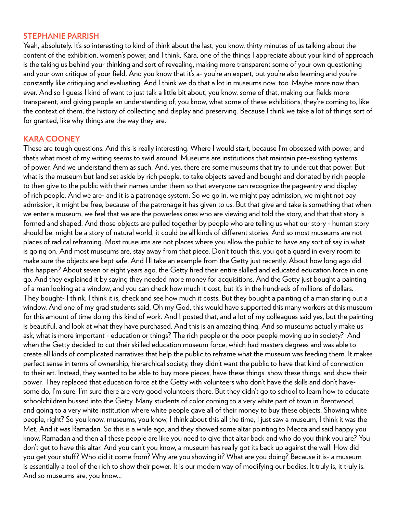#### **STEPHANIE PARRISH**

Yeah, absolutely. It's so interesting to kind of think about the last, you know, thirty minutes of us talking about the content of the exhibition, women's power, and I think, Kara, one of the things I appreciate about your kind of approach is the taking us behind your thinking and sort of revealing, making more transparent some of your own questioning and your own critique of your field. And you know that it's a- you're an expert, but you're also learning and you're constantly like critiquing and evaluating. And I think we do that a lot in museums now, too. Maybe more now than ever. And so I guess I kind of want to just talk a little bit about, you know, some of that, making our fields more transparent, and giving people an understanding of, you know, what some of these exhibitions, they're coming to, like the context of them, the history of collecting and display and preserving. Because I think we take a lot of things sort of for granted, like why things are the way they are.

#### **KARA COONEY**

These are tough questions. And this is really interesting. Where I would start, because I'm obsessed with power, and that's what most of my writing seems to swirl around. Museums are institutions that maintain pre-existing systems of power. And we understand them as such. And, yes, there are some museums that try to undercut that power. But what is the museum but land set aside by rich people, to take objects saved and bought and donated by rich people to then give to the public with their names under them so that everyone can recognize the pageantry and display of rich people. And we are- and it is a patronage system. So we go in, we might pay admission, we might not pay admission, it might be free, because of the patronage it has given to us. But that give and take is something that when we enter a museum, we feel that we are the powerless ones who are viewing and told the story, and that that story is formed and shaped. And those objects are pulled together by people who are telling us what our story - human story should be, might be a story of natural world, it could be all kinds of different stories. And so most museums are not places of radical reframing. Most museums are not places where you allow the public to have any sort of say in what is going on. And most museums are, stay away from that piece. Don't touch this, you got a guard in every room to make sure the objects are kept safe. And I'll take an example from the Getty just recently. About how long ago did this happen? About seven or eight years ago, the Getty fired their entire skilled and educated education force in one go. And they explained it by saying they needed more money for acquisitions. And the Getty just bought a painting of a man looking at a window, and you can check how much it cost, but it's in the hundreds of millions of dollars. They bought- I think. I think it is, check and see how much it costs. But they bought a painting of a man staring out a window. And one of my grad students said, Oh my God, this would have supported this many workers at this museum for this amount of time doing this kind of work. And I posted that, and a lot of my colleagues said yes, but the painting is beautiful, and look at what they have purchased. And this is an amazing thing. And so museums actually make us ask, what is more important - education or things? The rich people or the poor people moving up in society? And when the Getty decided to cut their skilled education museum force, which had masters degrees and was able to create all kinds of complicated narratives that help the public to reframe what the museum was feeding them. It makes perfect sense in terms of ownership, hierarchical society, they didn't want the public to have that kind of connection to their art. Instead, they wanted to be able to buy more pieces, have these things, show these things, and show their power. They replaced that education force at the Getty with volunteers who don't have the skills and don't havesome do, I'm sure. I'm sure there are very good volunteers there. But they didn't go to school to learn how to educate schoolchildren bussed into the Getty. Many students of color coming to a very white part of town in Brentwood, and going to a very white institution where white people gave all of their money to buy these objects. Showing white people, right? So you know, museums, you know, I think about this all the time, I just saw a museum, I think it was the Met. And it was Ramadan. So this is a while ago, and they showed some altar pointing to Mecca and said happy you know, Ramadan and then all these people are like you need to give that altar back and who do you think you are? You don't get to have this altar. And you can't you know, a museum has really got its back up against the wall. How did you get your stuff? Who did it come from? Why are you showing it? What are you doing? Because it is- a museum is essentially a tool of the rich to show their power. It is our modern way of modifying our bodies. It truly is, it truly is. And so museums are, you know...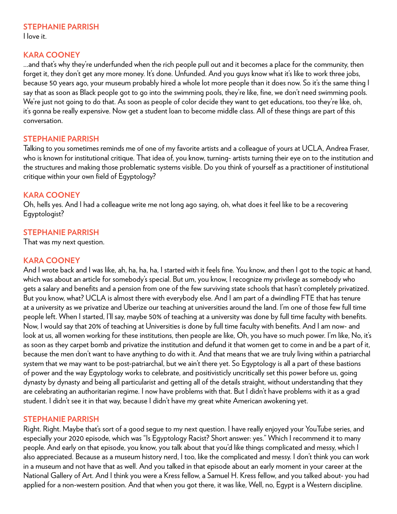### **STEPHANIE PARRISH**

I love it.

#### **KARA COONEY**

...and that's why they're underfunded when the rich people pull out and it becomes a place for the community, then forget it, they don't get any more money. It's done. Unfunded. And you guys know what it's like to work three jobs, because 50 years ago, your museum probably hired a whole lot more people than it does now. So it's the same thing I say that as soon as Black people got to go into the swimming pools, they're like, fine, we don't need swimming pools. We're just not going to do that. As soon as people of color decide they want to get educations, too they're like, oh, it's gonna be really expensive. Now get a student loan to become middle class. All of these things are part of this conversation.

#### **STEPHANIE PARRISH**

Talking to you sometimes reminds me of one of my favorite artists and a colleague of yours at UCLA, Andrea Fraser, who is known for institutional critique. That idea of, you know, turning- artists turning their eye on to the institution and the structures and making those problematic systems visible. Do you think of yourself as a practitioner of institutional critique within your own field of Egyptology?

### **KARA COONEY**

Oh, hells yes. And I had a colleague write me not long ago saying, oh, what does it feel like to be a recovering Egyptologist?

### **STEPHANIE PARRISH**

That was my next question.

### **KARA COONEY**

And I wrote back and I was like, ah, ha, ha, ha, I started with it feels fine. You know, and then I got to the topic at hand, which was about an article for somebody's special. But um, you know, I recognize my privilege as somebody who gets a salary and benefits and a pension from one of the few surviving state schools that hasn't completely privatized. But you know, what? UCLA is almost there with everybody else. And I am part of a dwindling FTE that has tenure at a university as we privatize and Uberize our teaching at universities around the land. I'm one of those few full time people left. When I started, I'll say, maybe 50% of teaching at a university was done by full time faculty with benefits. Now, I would say that 20% of teaching at Universities is done by full time faculty with benefits. And I am now- and look at us, all women working for these institutions, then people are like, Oh, you have so much power. I'm like, No, it's as soon as they carpet bomb and privatize the institution and defund it that women get to come in and be a part of it, because the men don't want to have anything to do with it. And that means that we are truly living within a patriarchal system that we may want to be post-patriarchal, but we ain't there yet. So Egyptology is all a part of these bastions of power and the way Egyptology works to celebrate, and positivisticly uncritically set this power before us, going dynasty by dynasty and being all particularist and getting all of the details straight, without understanding that they are celebrating an authoritarian regime. I now have problems with that. But I didn't have problems with it as a grad student. I didn't see it in that way, because I didn't have my great white American awokening yet.

#### **STEPHANIE PARRISH**

Right. Right. Maybe that's sort of a good segue to my next question. I have really enjoyed your YouTube series, and especially your 2020 episode, which was "Is Egyptology Racist? Short answer: yes." Which I recommend it to many people. And early on that episode, you know, you talk about that you'd like things complicated and messy, which I also appreciated. Because as a museum history nerd, I too, like the complicated and messy. I don't think you can work in a museum and not have that as well. And you talked in that episode about an early moment in your career at the National Gallery of Art. And I think you were a Kress fellow, a Samuel H. Kress fellow, and you talked about- you had applied for a non-western position. And that when you got there, it was like, Well, no, Egypt is a Western discipline.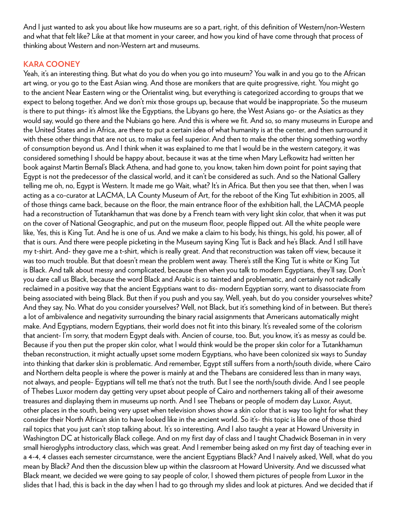And I just wanted to ask you about like how museums are so a part, right, of this definition of Western/non-Western and what that felt like? Like at that moment in your career, and how you kind of have come through that process of thinking about Western and non-Western art and museums.

### **KARA COONEY**

Yeah, it's an interesting thing. But what do you do when you go into museum? You walk in and you go to the African art wing, or you go to the East Asian wing. And those are monikers that are quite progressive, right. You might go to the ancient Near Eastern wing or the Orientalist wing, but everything is categorized according to groups that we expect to belong together. And we don't mix those groups up, because that would be inappropriate. So the museum is there to put things- it's almost like the Egyptians, the Libyans go here, the West Asians go- or the Asiatics as they would say, would go there and the Nubians go here. And this is where we fit. And so, so many museums in Europe and the United States and in Africa, are there to put a certain idea of what humanity is at the center, and then surround it with these other things that are not us, to make us feel superior. And then to make the other thing something worthy of consumption beyond us. And I think when it was explained to me that I would be in the western category, it was considered something I should be happy about, because it was at the time when Mary Lefkowitz had written her book against Martin Bernal's Black Athena, and had gone to, you know, taken him down point for point saying that Egypt is not the predecessor of the classical world, and it can't be considered as such. And so the National Gallery telling me oh, no, Egypt is Western. It made me go Wait, what? It's in Africa. But then you see that then, when I was acting as a co-curator at LACMA, LA County Museum of Art, for the reboot of the King Tut exhibition in 2005, all of those things came back, because on the floor, the main entrance floor of the exhibition hall, the LACMA people had a reconstruction of Tutankhamun that was done by a French team with very light skin color, that when it was put on the cover of National Geographic, and put on the museum floor, people flipped out. All the white people were like, Yes, this is King Tut. And he is one of us. And we make a claim to his body, his things, his gold, his power, all of that is ours. And there were people picketing in the Museum saying King Tut is Back and he's Black. And I still have my t-shirt. And- they gave me a t-shirt, which is really great. And that reconstruction was taken off view, because it was too much trouble. But that doesn't mean the problem went away. There's still the King Tut is white or King Tut is Black. And talk about messy and complicated, because then when you talk to modern Egyptians, they'll say, Don't you dare call us Black, because the word Black and Arabic is so tainted and problematic, and certainly not radically reclaimed in a positive way that the ancient Egyptians want to dis- modern Egyptian sorry, want to disassociate from being associated with being Black. But then if you push and you say, Well, yeah, but do you consider yourselves white? And they say, No. What do you consider yourselves? Well, not Black, but it's something kind of in between. But there's a lot of ambivalence and negativity surrounding the binary racial assignments that Americans automatically might make. And Egyptians, modern Egyptians, their world does not fit into this binary. It's revealed some of the colorism that ancient- I'm sorry, that modern Egypt deals with. Ancien of course, too. But, you know, it's as messy as could be. Because if you then put the proper skin color, what I would think would be the proper skin color for a Tutankhamun theban reconstruction, it might actually upset some modern Egyptians, who have been colonized six ways to Sunday into thinking that darker skin is problematic. And remember, Egypt still suffers from a north/south divide, where Cairo and Northern delta people is where the power is mainly at and the Thebans are considered less than in many ways, not always, and people- Egyptians will tell me that's not the truth. But I see the north/south divide. And I see people of Thebes Luxor modern day getting very upset about people of Cairo and northerners taking all of their awesome treasures and displaying them in museums up north. And I see Thebans or people of modern day Luxor, Asyut, other places in the south, being very upset when television shows show a skin color that is way too light for what they consider their North African skin to have looked like in the ancient world. So it's- this topic is like one of those third rail topics that you just can't stop talking about. It's so interesting. And I also taught a year at Howard University in Washington DC at historically Black college. And on my first day of class and I taught Chadwick Boseman in in very small hieroglyphs introductory class, which was great. And I remember being asked on my first day of teaching ever in a 4-4, 4 classes each semester circumstance, were the ancient Egyptians Black? And I naively asked, Well, what do you mean by Black? And then the discussion blew up within the classroom at Howard University. And we discussed what Black meant, we decided we were going to say people of color, I showed them pictures of people from Luxor in the slides that I had, this is back in the day when I had to go through my slides and look at pictures. And we decided that if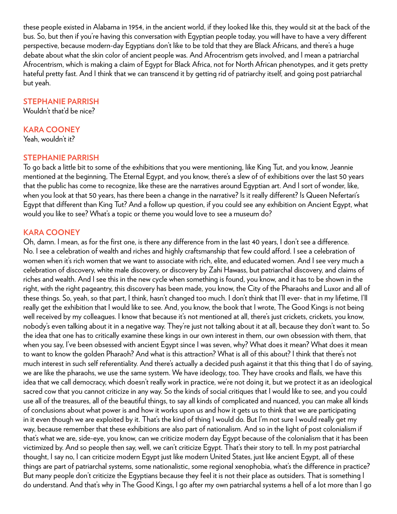these people existed in Alabama in 1954, in the ancient world, if they looked like this, they would sit at the back of the bus. So, but then if you're having this conversation with Egyptian people today, you will have to have a very different perspective, because modern-day Egyptians don't like to be told that they are Black Africans, and there's a huge debate about what the skin color of ancient people was. And Afrocentrism gets involved, and I mean a patriarchal Afrocentrism, which is making a claim of Egypt for Black Africa, not for North African phenotypes, and it gets pretty hateful pretty fast. And I think that we can transcend it by getting rid of patriarchy itself, and going post patriarchal but yeah.

### **STEPHANIE PARRISH**

Wouldn't that'd be nice?

#### **KARA COONEY**

Yeah, wouldn't it?

#### **STEPHANIE PARRISH**

To go back a little bit to some of the exhibitions that you were mentioning, like King Tut, and you know, Jeannie mentioned at the beginning, The Eternal Egypt, and you know, there's a slew of of exhibitions over the last 50 years that the public has come to recognize, like these are the narratives around Egyptian art. And I sort of wonder, like, when you look at that 50 years, has there been a change in the narrative? Is it really different? Is Queen Nefertari's Egypt that different than King Tut? And a follow up question, if you could see any exhibition on Ancient Egypt, what would you like to see? What's a topic or theme you would love to see a museum do?

#### **KARA COONEY**

Oh, damn. I mean, as for the first one, is there any difference from in the last 40 years, I don't see a difference. No. I see a celebration of wealth and riches and highly craftsmanship that few could afford. I see a celebration of women when it's rich women that we want to associate with rich, elite, and educated women. And I see very much a celebration of discovery, white male discovery, or discovery by Zahi Hawass, but patriarchal discovery, and claims of riches and wealth. And I see this in the new cycle when something is found, you know, and it has to be shown in the right, with the right pageantry, this discovery has been made, you know, the City of the Pharaohs and Luxor and all of these things. So, yeah, so that part, I think, hasn't changed too much. I don't think that I'll ever- that in my lifetime, I'll really get the exhibition that I would like to see. And, you know, the book that I wrote, The Good Kings is not being well received by my colleagues. I know that because it's not mentioned at all, there's just crickets, crickets, you know, nobody's even talking about it in a negative way. They're just not talking about it at all, because they don't want to. So the idea that one has to critically examine these kings in our own interest in them, our own obsession with them, that when you say, I've been obsessed with ancient Egypt since I was seven, why? What does it mean? What does it mean to want to know the golden Pharaoh? And what is this attraction? What is all of this about? I think that there's not much interest in such self referentiality. And there's actually a decided push against it that this thing that I do of saying, we are like the pharaohs, we use the same system. We have ideology, too. They have crooks and flails, we have this idea that we call democracy, which doesn't really work in practice, we're not doing it, but we protect it as an ideological sacred cow that you cannot criticize in any way. So the kinds of social critiques that I would like to see, and you could use all of the treasures, all of the beautiful things, to say all kinds of complicated and nuanced, you can make all kinds of conclusions about what power is and how it works upon us and how it gets us to think that we are participating in it even though we are exploited by it. That's the kind of thing I would do. But I'm not sure I would really get my way, because remember that these exhibitions are also part of nationalism. And so in the light of post colonialism if that's what we are, side-eye, you know, can we criticize modern day Egypt because of the colonialism that it has been victimized by. And so people then say, well, we can't criticize Egypt. That's their story to tell. In my post patriarchal thought, I say no, I can criticize modern Egypt just like modern United States, just like ancient Egypt, all of these things are part of patriarchal systems, some nationalistic, some regional xenophobia, what's the difference in practice? But many people don't criticize the Egyptians because they feel it is not their place as outsiders. That is something I do understand. And that's why in The Good Kings, I go after my own patriarchal systems a hell of a lot more than I go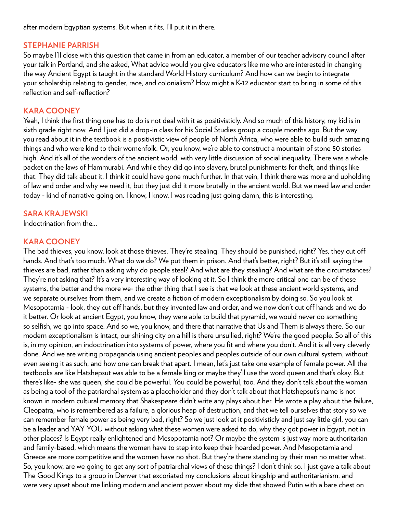after modern Egyptian systems. But when it fits, I'll put it in there.

#### **STEPHANIE PARRISH**

So maybe I'll close with this question that came in from an educator, a member of our teacher advisory council after your talk in Portland, and she asked, What advice would you give educators like me who are interested in changing the way Ancient Egypt is taught in the standard World History curriculum? And how can we begin to integrate your scholarship relating to gender, race, and colonialism? How might a K-12 educator start to bring in some of this reflection and self-reflection?

### **KARA COONEY**

Yeah, I think the first thing one has to do is not deal with it as positivisticly. And so much of this history, my kid is in sixth grade right now. And I just did a drop-in class for his Social Studies group a couple months ago. But the way you read about it in the textbook is a positivistic view of people of North Africa, who were able to build such amazing things and who were kind to their womenfolk. Or, you know, we're able to construct a mountain of stone 50 stories high. And it's all of the wonders of the ancient world, with very little discussion of social inequality. There was a whole packet on the laws of Hammurabi. And while they did go into slavery, brutal punishments for theft, and things like that. They did talk about it. I think it could have gone much further. In that vein, I think there was more and upholding of law and order and why we need it, but they just did it more brutally in the ancient world. But we need law and order today - kind of narrative going on. I know, I know, I was reading just going damn, this is interesting.

### **SARA KRAJEWSKI**

Indoctrination from the...

# **KARA COONEY**

The bad thieves, you know, look at those thieves. They're stealing. They should be punished, right? Yes, they cut off hands. And that's too much. What do we do? We put them in prison. And that's better, right? But it's still saying the thieves are bad, rather than asking why do people steal? And what are they stealing? And what are the circumstances? They're not asking that? It's a very interesting way of looking at it. So I think the more critical one can be of these systems, the better and the more we- the other thing that I see is that we look at these ancient world systems, and we separate ourselves from them, and we create a fiction of modern exceptionalism by doing so. So you look at Mesopotamia - look, they cut off hands, but they invented law and order, and we now don't cut off hands and we do it better. Or look at ancient Egypt, you know, they were able to build that pyramid, we would never do something so selfish, we go into space. And so we, you know, and there that narrative that Us and Them is always there. So our modern exceptionalism is intact, our shining city on a hill is there unsullied, right? We're the good people. So all of this is, in my opinion, an indoctrination into systems of power, where you fit and where you don't. And it is all very cleverly done. And we are writing propaganda using ancient peoples and peoples outside of our own cultural system, without even seeing it as such, and how one can break that apart. I mean, let's just take one example of female power. All the textbooks are like Hatshepsut was able to be a female king or maybe they'll use the word queen and that's okay. But there's like- she was queen, she could be powerful. You could be powerful, too. And they don't talk about the woman as being a tool of the patriarchal system as a placeholder and they don't talk about that Hatshepsut's name is not known in modern cultural memory that Shakespeare didn't write any plays about her. He wrote a play about the failure, Cleopatra, who is remembered as a failure, a glorious heap of destruction, and that we tell ourselves that story so we can remember female power as being very bad, right? So we just look at it positivisticly and just say little girl, you can be a leader and YAY YOU without asking what these women were asked to do, why they got power in Egypt, not in other places? Is Egypt really enlightened and Mesopotamia not? Or maybe the system is just way more authoritarian and family-based, which means the women have to step into keep their hoarded power. And Mesopotamia and Greece are more competitive and the women have no shot. But they're there standing by their man no matter what. So, you know, are we going to get any sort of patriarchal views of these things? I don't think so. I just gave a talk about The Good Kings to a group in Denver that excoriated my conclusions about kingship and authoritarianism, and were very upset about me linking modern and ancient power about my slide that showed Putin with a bare chest on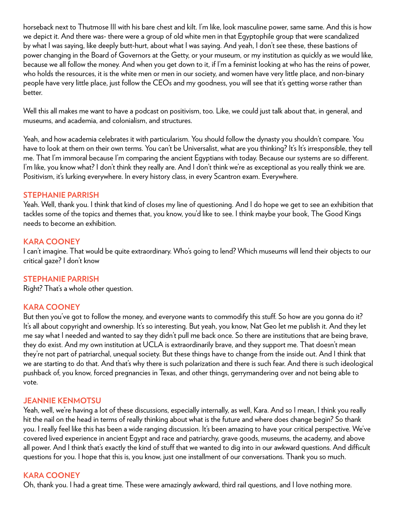horseback next to Thutmose III with his bare chest and kilt. I'm like, look masculine power, same same. And this is how we depict it. And there was- there were a group of old white men in that Egyptophile group that were scandalized by what I was saying, like deeply butt-hurt, about what I was saying. And yeah, I don't see these, these bastions of power changing in the Board of Governors at the Getty, or your museum, or my institution as quickly as we would like, because we all follow the money. And when you get down to it, if I'm a feminist looking at who has the reins of power, who holds the resources, it is the white men or men in our society, and women have very little place, and non-binary people have very little place, just follow the CEOs and my goodness, you will see that it's getting worse rather than better.

Well this all makes me want to have a podcast on positivism, too. Like, we could just talk about that, in general, and museums, and academia, and colonialism, and structures.

Yeah, and how academia celebrates it with particularism. You should follow the dynasty you shouldn't compare. You have to look at them on their own terms. You can't be Universalist, what are you thinking? It's It's irresponsible, they tell me. That I'm immoral because I'm comparing the ancient Egyptians with today. Because our systems are so different. I'm like, you know what? I don't think they really are. And I don't think we're as exceptional as you really think we are. Positivism, it's lurking everywhere. In every history class, in every Scantron exam. Everywhere.

### **STEPHANIE PARRISH**

Yeah. Well, thank you. I think that kind of closes my line of questioning. And I do hope we get to see an exhibition that tackles some of the topics and themes that, you know, you'd like to see. I think maybe your book, The Good Kings needs to become an exhibition.

### **KARA COONEY**

I can't imagine. That would be quite extraordinary. Who's going to lend? Which museums will lend their objects to our critical gaze? I don't know

### **STEPHANIE PARRISH**

Right? That's a whole other question.

### **KARA COONEY**

But then you've got to follow the money, and everyone wants to commodify this stuff. So how are you gonna do it? It's all about copyright and ownership. It's so interesting. But yeah, you know, Nat Geo let me publish it. And they let me say what I needed and wanted to say they didn't pull me back once. So there are institutions that are being brave, they do exist. And my own institution at UCLA is extraordinarily brave, and they support me. That doesn't mean they're not part of patriarchal, unequal society. But these things have to change from the inside out. And I think that we are starting to do that. And that's why there is such polarization and there is such fear. And there is such ideological pushback of, you know, forced pregnancies in Texas, and other things, gerrymandering over and not being able to vote.

### **JEANNIE KENMOTSU**

Yeah, well, we're having a lot of these discussions, especially internally, as well, Kara. And so I mean, I think you really hit the nail on the head in terms of really thinking about what is the future and where does change begin? So thank you. I really feel like this has been a wide ranging discussion. It's been amazing to have your critical perspective. We've covered lived experience in ancient Egypt and race and patriarchy, grave goods, museums, the academy, and above all power. And I think that's exactly the kind of stuff that we wanted to dig into in our awkward questions. And difficult questions for you. I hope that this is, you know, just one installment of our conversations. Thank you so much.

### **KARA COONEY**

Oh, thank you. I had a great time. These were amazingly awkward, third rail questions, and I love nothing more.